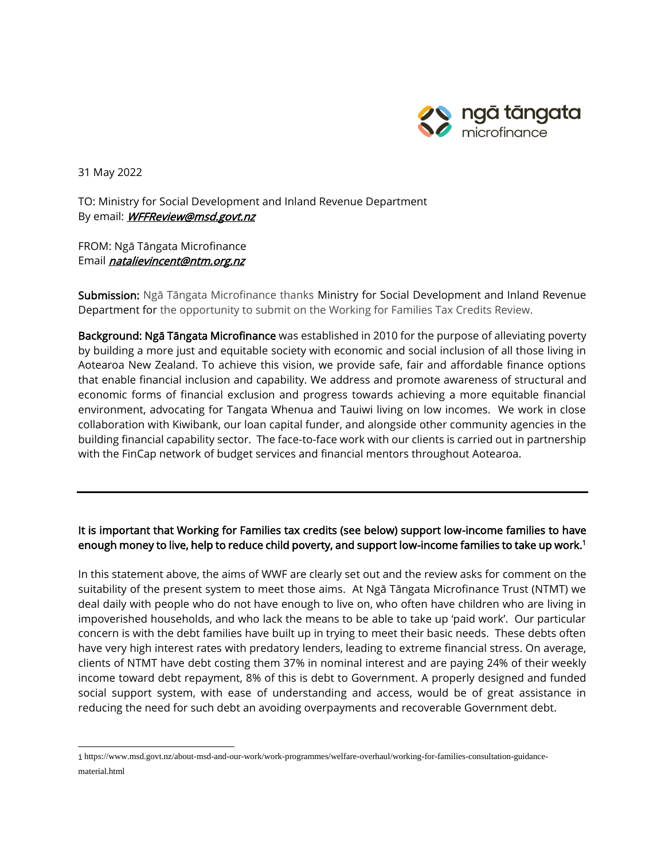

31 May 2022

TO: Ministry for Social Development and Inland Revenue Department By email: **WFFReview@msd.govt.nz** 

FROM: Ngā Tāngata Microfinance Email *natalievincent@ntm.org.nz* 

Submission: Ngā Tāngata Microfinance thanks Ministry for Social Development and Inland Revenue Department for the opportunity to submit on the Working for Families Tax Credits Review.

Background: Ngā Tāngata Microfinance was established in 2010 for the purpose of alleviating poverty by building a more just and equitable society with economic and social inclusion of all those living in Aotearoa New Zealand. To achieve this vision, we provide safe, fair and affordable finance options that enable financial inclusion and capability. We address and promote awareness of structural and economic forms of financial exclusion and progress towards achieving a more equitable financial environment, advocating for Tangata Whenua and Tauiwi living on low incomes. We work in close collaboration with Kiwibank, our loan capital funder, and alongside other community agencies in the building financial capability sector. The face-to-face work with our clients is carried out in partnership with the FinCap network of budget services and financial mentors throughout Aotearoa.

## It is important that Working for Families tax credits (see below) support low-income families to have enough money to live, help to reduce child poverty, and support low-income families to take up work.<sup>1</sup>

In this statement above, the aims of WWF are clearly set out and the review asks for comment on the suitability of the present system to meet those aims. At Ngā Tāngata Microfinance Trust (NTMT) we deal daily with people who do not have enough to live on, who often have children who are living in impoverished households, and who lack the means to be able to take up 'paid work'. Our particular concern is with the debt families have built up in trying to meet their basic needs. These debts often have very high interest rates with predatory lenders, leading to extreme financial stress. On average, clients of NTMT have debt costing them 37% in nominal interest and are paying 24% of their weekly income toward debt repayment, 8% of this is debt to Government. A properly designed and funded social support system, with ease of understanding and access, would be of great assistance in reducing the need for such debt an avoiding overpayments and recoverable Government debt.

<sup>1</sup> https://www.msd.govt.nz/about-msd-and-our-work/work-programmes/welfare-overhaul/working-for-families-consultation-guidancematerial.html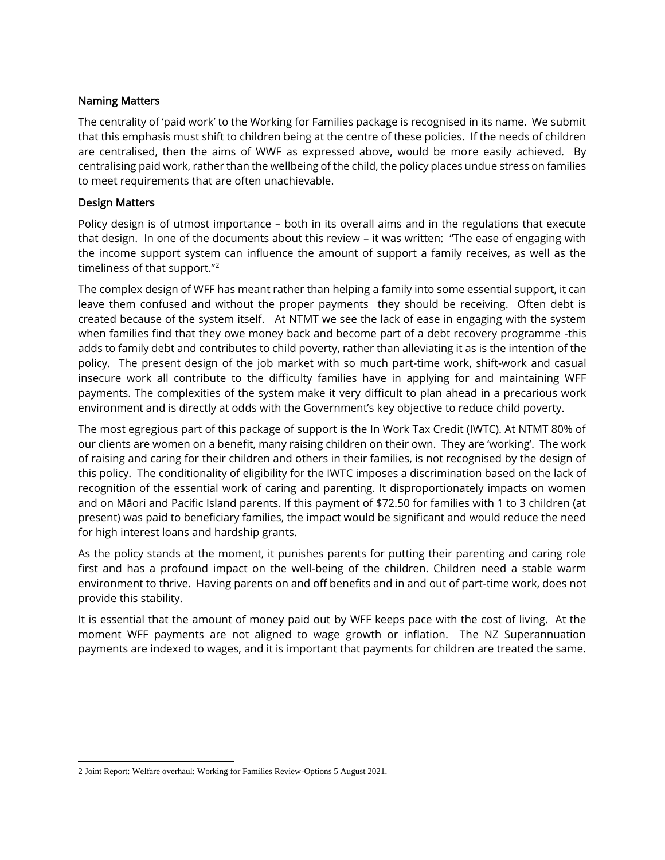## Naming Matters

The centrality of 'paid work' to the Working for Families package is recognised in its name. We submit that this emphasis must shift to children being at the centre of these policies. If the needs of children are centralised, then the aims of WWF as expressed above, would be more easily achieved. By centralising paid work, rather than the wellbeing of the child, the policy places undue stress on families to meet requirements that are often unachievable.

## Design Matters

Policy design is of utmost importance – both in its overall aims and in the regulations that execute that design. In one of the documents about this review – it was written: "The ease of engaging with the income support system can influence the amount of support a family receives, as well as the timeliness of that support."<sup>2</sup>

The complex design of WFF has meant rather than helping a family into some essential support, it can leave them confused and without the proper payments they should be receiving. Often debt is created because of the system itself. At NTMT we see the lack of ease in engaging with the system when families find that they owe money back and become part of a debt recovery programme -this adds to family debt and contributes to child poverty, rather than alleviating it as is the intention of the policy. The present design of the job market with so much part-time work, shift-work and casual insecure work all contribute to the difficulty families have in applying for and maintaining WFF payments. The complexities of the system make it very difficult to plan ahead in a precarious work environment and is directly at odds with the Government's key objective to reduce child poverty.

The most egregious part of this package of support is the In Work Tax Credit (IWTC). At NTMT 80% of our clients are women on a benefit, many raising children on their own. They are 'working'. The work of raising and caring for their children and others in their families, is not recognised by the design of this policy. The conditionality of eligibility for the IWTC imposes a discrimination based on the lack of recognition of the essential work of caring and parenting. It disproportionately impacts on women and on Māori and Pacific Island parents. If this payment of \$72.50 for families with 1 to 3 children (at present) was paid to beneficiary families, the impact would be significant and would reduce the need for high interest loans and hardship grants.

As the policy stands at the moment, it punishes parents for putting their parenting and caring role first and has a profound impact on the well-being of the children. Children need a stable warm environment to thrive. Having parents on and off benefits and in and out of part-time work, does not provide this stability.

It is essential that the amount of money paid out by WFF keeps pace with the cost of living. At the moment WFF payments are not aligned to wage growth or inflation. The NZ Superannuation payments are indexed to wages, and it is important that payments for children are treated the same.

<sup>2</sup> Joint Report: Welfare overhaul: Working for Families Review-Options 5 August 2021.